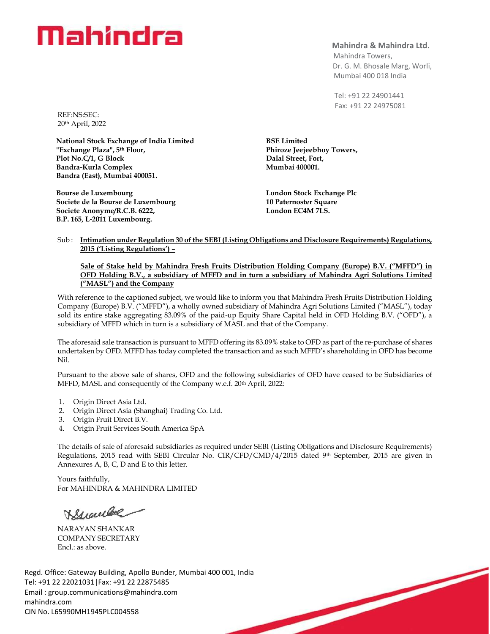### **Mahindra & Mahindra Ltd.**

 Mahindra Towers, Dr. G. M. Bhosale Marg, Worli, Mumbai 400 018 India

 Tel: +91 22 24901441 Fax: +91 22 24975081

REF:NS:SEC: 20th April, 2022

**National Stock Exchange of India Limited "Exchange Plaza", 5th Floor, Plot No.C/1, G Block Bandra-Kurla Complex Bandra (East), Mumbai 400051.**

**Bourse de Luxembourg Societe de la Bourse de Luxembourg Societe Anonyme/R.C.B. 6222, B.P. 165, L-2011 Luxembourg.**

**BSE Limited Phiroze Jeejeebhoy Towers, Dalal Street, Fort, Mumbai 400001.**

**London Stock Exchange Plc 10 Paternoster Square London EC4M 7LS.**

#### Sub : **Intimation under Regulation 30 of the SEBI (Listing Obligations and Disclosure Requirements) Regulations, 2015 ('Listing Regulations') –**

#### **Sale of Stake held by Mahindra Fresh Fruits Distribution Holding Company (Europe) B.V. ("MFFD") in OFD Holding B.V., a subsidiary of MFFD and in turn a subsidiary of Mahindra Agri Solutions Limited ("MASL") and the Company**

With reference to the captioned subject, we would like to inform you that Mahindra Fresh Fruits Distribution Holding Company (Europe) B.V. ("MFFD"), a wholly owned subsidiary of Mahindra Agri Solutions Limited ("MASL"), today sold its entire stake aggregating 83.09% of the paid-up Equity Share Capital held in OFD Holding B.V. ("OFD"), a subsidiary of MFFD which in turn is a subsidiary of MASL and that of the Company.

The aforesaid sale transaction is pursuant to MFFD offering its 83.09% stake to OFD as part of the re-purchase of shares undertaken by OFD. MFFD has today completed the transaction and as such MFFD's shareholding in OFD has become Nil.

Pursuant to the above sale of shares, OFD and the following subsidiaries of OFD have ceased to be Subsidiaries of MFFD, MASL and consequently of the Company w.e.f. 20th April, 2022:

- 1. Origin Direct Asia Ltd.
- 2. Origin Direct Asia (Shanghai) Trading Co. Ltd.
- 3. Origin Fruit Direct B.V.
- 4. Origin Fruit Services South America SpA

The details of sale of aforesaid subsidiaries as required under SEBI (Listing Obligations and Disclosure Requirements) Regulations, 2015 read with SEBI Circular No. CIR/CFD/CMD/4/2015 dated 9th September, 2015 are given in Annexures A, B, C, D and E to this letter.

Yours faithfully, For MAHINDRA & MAHINDRA LIMITED

Hypelbe

NARAYAN SHANKAR COMPANY SECRETARY Encl.: as above.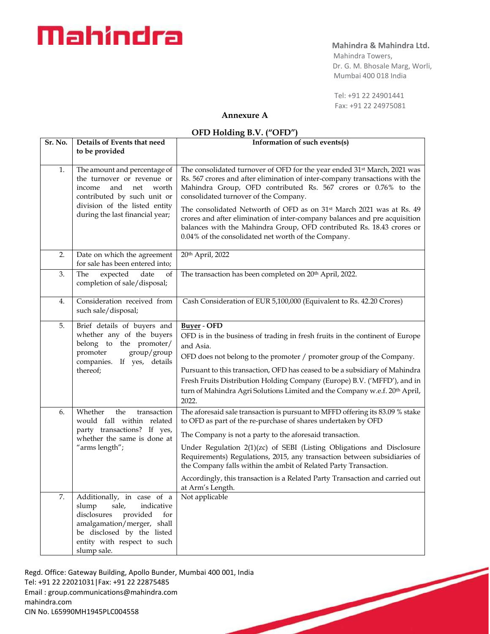## **Mahindra & Mahindra Ltd.**

 Mahindra Towers, Dr. G. M. Bhosale Marg, Worli, Mumbai 400 018 India

 Tel: +91 22 24901441 Fax: +91 22 24975081

# **Annexure A**

### **OFD Holding B.V. ("OFD")**

| Sr. No.  | Details of Events that need                                                                                                                                                                                                                                                                | Information of such events(s)                                                                                                                                                                                                                                                          |
|----------|--------------------------------------------------------------------------------------------------------------------------------------------------------------------------------------------------------------------------------------------------------------------------------------------|----------------------------------------------------------------------------------------------------------------------------------------------------------------------------------------------------------------------------------------------------------------------------------------|
|          | to be provided                                                                                                                                                                                                                                                                             |                                                                                                                                                                                                                                                                                        |
| 1.       | The amount and percentage of                                                                                                                                                                                                                                                               | The consolidated turnover of OFD for the year ended 31 <sup>st</sup> March, 2021 was                                                                                                                                                                                                   |
|          | the turnover or revenue or                                                                                                                                                                                                                                                                 | Rs. 567 crores and after elimination of inter-company transactions with the                                                                                                                                                                                                            |
|          | income<br>and<br>worth<br>net<br>contributed by such unit or                                                                                                                                                                                                                               | Mahindra Group, OFD contributed Rs. 567 crores or 0.76% to the<br>consolidated turnover of the Company.                                                                                                                                                                                |
|          | division of the listed entity                                                                                                                                                                                                                                                              |                                                                                                                                                                                                                                                                                        |
|          | during the last financial year;                                                                                                                                                                                                                                                            | The consolidated Networth of OFD as on 31st March 2021 was at Rs. 49<br>crores and after elimination of inter-company balances and pre acquisition                                                                                                                                     |
|          |                                                                                                                                                                                                                                                                                            | balances with the Mahindra Group, OFD contributed Rs. 18.43 crores or                                                                                                                                                                                                                  |
|          |                                                                                                                                                                                                                                                                                            | 0.04% of the consolidated net worth of the Company.                                                                                                                                                                                                                                    |
| 2.       | Date on which the agreement                                                                                                                                                                                                                                                                | 20th April, 2022                                                                                                                                                                                                                                                                       |
|          | for sale has been entered into;                                                                                                                                                                                                                                                            |                                                                                                                                                                                                                                                                                        |
| 3.       | The<br>expected<br>date<br>of                                                                                                                                                                                                                                                              | The transaction has been completed on 20 <sup>th</sup> April, 2022.                                                                                                                                                                                                                    |
|          | completion of sale/disposal;                                                                                                                                                                                                                                                               |                                                                                                                                                                                                                                                                                        |
| 4.       | Consideration received from                                                                                                                                                                                                                                                                | Cash Consideration of EUR 5,100,000 (Equivalent to Rs. 42.20 Crores)                                                                                                                                                                                                                   |
|          | such sale/disposal;                                                                                                                                                                                                                                                                        |                                                                                                                                                                                                                                                                                        |
| 5.       | Brief details of buyers and                                                                                                                                                                                                                                                                | <b>Buyer</b> - OFD                                                                                                                                                                                                                                                                     |
|          | whether any of the buyers                                                                                                                                                                                                                                                                  | OFD is in the business of trading in fresh fruits in the continent of Europe                                                                                                                                                                                                           |
|          |                                                                                                                                                                                                                                                                                            | and Asia.                                                                                                                                                                                                                                                                              |
|          |                                                                                                                                                                                                                                                                                            | OFD does not belong to the promoter / promoter group of the Company.                                                                                                                                                                                                                   |
|          | thereof;                                                                                                                                                                                                                                                                                   | Pursuant to this transaction, OFD has ceased to be a subsidiary of Mahindra                                                                                                                                                                                                            |
|          |                                                                                                                                                                                                                                                                                            | Fresh Fruits Distribution Holding Company (Europe) B.V. ('MFFD'), and in                                                                                                                                                                                                               |
|          |                                                                                                                                                                                                                                                                                            |                                                                                                                                                                                                                                                                                        |
|          |                                                                                                                                                                                                                                                                                            |                                                                                                                                                                                                                                                                                        |
|          | would fall within related                                                                                                                                                                                                                                                                  | to OFD as part of the re-purchase of shares undertaken by OFD                                                                                                                                                                                                                          |
|          | whether the same is done at                                                                                                                                                                                                                                                                | The Company is not a party to the aforesaid transaction.                                                                                                                                                                                                                               |
|          | "arms length";                                                                                                                                                                                                                                                                             | Under Regulation 2(1)(zc) of SEBI (Listing Obligations and Disclosure                                                                                                                                                                                                                  |
|          |                                                                                                                                                                                                                                                                                            | the Company falls within the ambit of Related Party Transaction.                                                                                                                                                                                                                       |
|          |                                                                                                                                                                                                                                                                                            | Accordingly, this transaction is a Related Party Transaction and carried out                                                                                                                                                                                                           |
|          |                                                                                                                                                                                                                                                                                            |                                                                                                                                                                                                                                                                                        |
|          |                                                                                                                                                                                                                                                                                            |                                                                                                                                                                                                                                                                                        |
|          | disclosures provided<br>for                                                                                                                                                                                                                                                                |                                                                                                                                                                                                                                                                                        |
|          | amalgamation/merger, shall                                                                                                                                                                                                                                                                 |                                                                                                                                                                                                                                                                                        |
|          |                                                                                                                                                                                                                                                                                            |                                                                                                                                                                                                                                                                                        |
|          |                                                                                                                                                                                                                                                                                            |                                                                                                                                                                                                                                                                                        |
| 6.<br>7. | belong to the promoter/<br>promoter<br>group/group<br>companies. If yes, details<br>Whether<br>the<br>transaction<br>party transactions? If yes,<br>Additionally, in case of a<br>sale,<br>indicative<br>slump<br>be disclosed by the listed<br>entity with respect to such<br>slump sale. | turn of Mahindra Agri Solutions Limited and the Company w.e.f. 20th April,<br>2022.<br>The aforesaid sale transaction is pursuant to MFFD offering its 83.09 % stake<br>Requirements) Regulations, 2015, any transaction between subsidiaries of<br>at Arm's Length.<br>Not applicable |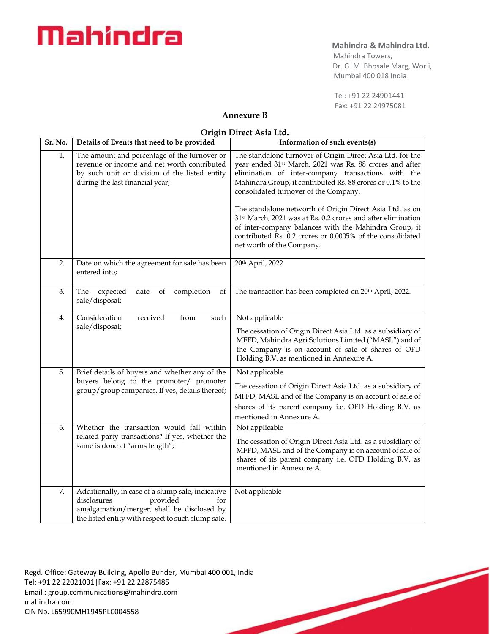## **Mahindra & Mahindra Ltd.**

 Mahindra Towers, Dr. G. M. Bhosale Marg, Worli, Mumbai 400 018 India

 Tel: +91 22 24901441 Fax: +91 22 24975081

# **Annexure B**

### **Origin Direct Asia Ltd.**

| Sr. No. | Details of Events that need to be provided                                                                                                                                              | Information of such events(s)                                                                                                                                                                                                                                                                   |
|---------|-----------------------------------------------------------------------------------------------------------------------------------------------------------------------------------------|-------------------------------------------------------------------------------------------------------------------------------------------------------------------------------------------------------------------------------------------------------------------------------------------------|
| 1.      | The amount and percentage of the turnover or<br>revenue or income and net worth contributed<br>by such unit or division of the listed entity<br>during the last financial year;         | The standalone turnover of Origin Direct Asia Ltd. for the<br>year ended 31 <sup>st</sup> March, 2021 was Rs. 88 crores and after<br>elimination of inter-company transactions with the<br>Mahindra Group, it contributed Rs. 88 crores or 0.1% to the<br>consolidated turnover of the Company. |
|         |                                                                                                                                                                                         | The standalone networth of Origin Direct Asia Ltd. as on<br>31 <sup>st</sup> March, 2021 was at Rs. 0.2 crores and after elimination<br>of inter-company balances with the Mahindra Group, it<br>contributed Rs. 0.2 crores or 0.0005% of the consolidated<br>net worth of the Company.         |
| 2.      | Date on which the agreement for sale has been<br>entered into;                                                                                                                          | 20th April, 2022                                                                                                                                                                                                                                                                                |
| 3.      | The<br>expected<br>date<br>completion<br>of<br>of<br>sale/disposal;                                                                                                                     | The transaction has been completed on 20th April, 2022.                                                                                                                                                                                                                                         |
| 4.      | Consideration<br>received<br>from<br>such                                                                                                                                               | Not applicable                                                                                                                                                                                                                                                                                  |
|         | sale/disposal;                                                                                                                                                                          | The cessation of Origin Direct Asia Ltd. as a subsidiary of<br>MFFD, Mahindra Agri Solutions Limited ("MASL") and of<br>the Company is on account of sale of shares of OFD<br>Holding B.V. as mentioned in Annexure A.                                                                          |
| 5.      | Brief details of buyers and whether any of the                                                                                                                                          | Not applicable                                                                                                                                                                                                                                                                                  |
|         | buyers belong to the promoter/ promoter<br>group/group companies. If yes, details thereof;                                                                                              | The cessation of Origin Direct Asia Ltd. as a subsidiary of<br>MFFD, MASL and of the Company is on account of sale of<br>shares of its parent company i.e. OFD Holding B.V. as<br>mentioned in Annexure A.                                                                                      |
| 6.      | Whether the transaction would fall within<br>related party transactions? If yes, whether the                                                                                            | Not applicable                                                                                                                                                                                                                                                                                  |
|         | same is done at "arms length";                                                                                                                                                          | The cessation of Origin Direct Asia Ltd. as a subsidiary of<br>MFFD, MASL and of the Company is on account of sale of<br>shares of its parent company i.e. OFD Holding B.V. as<br>mentioned in Annexure A.                                                                                      |
| 7.      | Additionally, in case of a slump sale, indicative<br>disclosures<br>provided<br>for<br>amalgamation/merger, shall be disclosed by<br>the listed entity with respect to such slump sale. | Not applicable                                                                                                                                                                                                                                                                                  |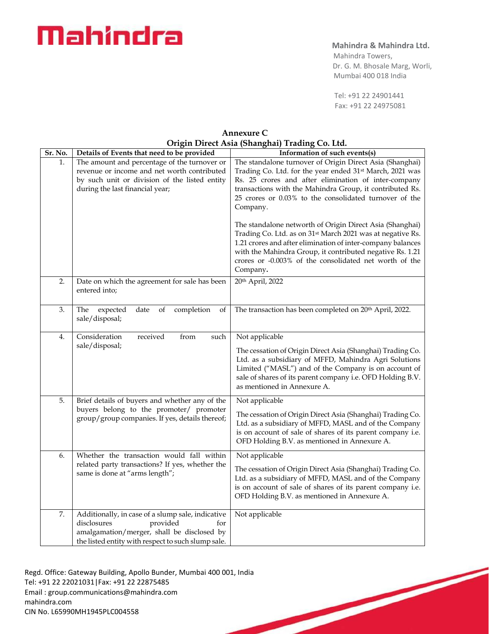# **Mahindra & Mahindra Ltd.**

 Mahindra Towers, Dr. G. M. Bhosale Marg, Worli, Mumbai 400 018 India

 Tel: +91 22 24901441 Fax: +91 22 24975081

| Sr. No. | Details of Events that need to be provided                                                                                                                                              | $\sum_{i=1}^{n}$<br>Information of such events(s)                                                                                                                                                                                                                                                                                    |
|---------|-----------------------------------------------------------------------------------------------------------------------------------------------------------------------------------------|--------------------------------------------------------------------------------------------------------------------------------------------------------------------------------------------------------------------------------------------------------------------------------------------------------------------------------------|
|         |                                                                                                                                                                                         |                                                                                                                                                                                                                                                                                                                                      |
| 1.      | The amount and percentage of the turnover or<br>revenue or income and net worth contributed<br>by such unit or division of the listed entity<br>during the last financial year;         | The standalone turnover of Origin Direct Asia (Shanghai)<br>Trading Co. Ltd. for the year ended 31 <sup>st</sup> March, 2021 was<br>Rs. 25 crores and after elimination of inter-company<br>transactions with the Mahindra Group, it contributed Rs.<br>25 crores or 0.03% to the consolidated turnover of the<br>Company.           |
|         |                                                                                                                                                                                         | The standalone networth of Origin Direct Asia (Shanghai)<br>Trading Co. Ltd. as on 31 <sup>st</sup> March 2021 was at negative Rs.<br>1.21 crores and after elimination of inter-company balances<br>with the Mahindra Group, it contributed negative Rs. 1.21<br>crores or -0.003% of the consolidated net worth of the<br>Company. |
| 2.      | Date on which the agreement for sale has been<br>entered into;                                                                                                                          | 20th April, 2022                                                                                                                                                                                                                                                                                                                     |
| 3.      | date<br>completion<br>of<br>The<br>expected<br>of<br>sale/disposal;                                                                                                                     | The transaction has been completed on 20 <sup>th</sup> April, 2022.                                                                                                                                                                                                                                                                  |
| 4.      | Consideration<br>received<br>from<br>such<br>sale/disposal;                                                                                                                             | Not applicable<br>The cessation of Origin Direct Asia (Shanghai) Trading Co.<br>Ltd. as a subsidiary of MFFD, Mahindra Agri Solutions<br>Limited ("MASL") and of the Company is on account of<br>sale of shares of its parent company i.e. OFD Holding B.V.<br>as mentioned in Annexure A.                                           |
| 5.      | Brief details of buyers and whether any of the<br>buyers belong to the promoter/ promoter<br>group/group companies. If yes, details thereof;                                            | Not applicable<br>The cessation of Origin Direct Asia (Shanghai) Trading Co.<br>Ltd. as a subsidiary of MFFD, MASL and of the Company<br>is on account of sale of shares of its parent company i.e.<br>OFD Holding B.V. as mentioned in Annexure A.                                                                                  |
| 6.      | Whether the transaction would fall within<br>related party transactions? If yes, whether the<br>same is done at "arms length";                                                          | Not applicable<br>The cessation of Origin Direct Asia (Shanghai) Trading Co.<br>Ltd. as a subsidiary of MFFD, MASL and of the Company<br>is on account of sale of shares of its parent company i.e.<br>OFD Holding B.V. as mentioned in Annexure A.                                                                                  |
| 7.      | Additionally, in case of a slump sale, indicative<br>provided<br>disclosures<br>for<br>amalgamation/merger, shall be disclosed by<br>the listed entity with respect to such slump sale. | Not applicable                                                                                                                                                                                                                                                                                                                       |

**Annexure C Origin Direct Asia (Shanghai) Trading Co. Ltd.**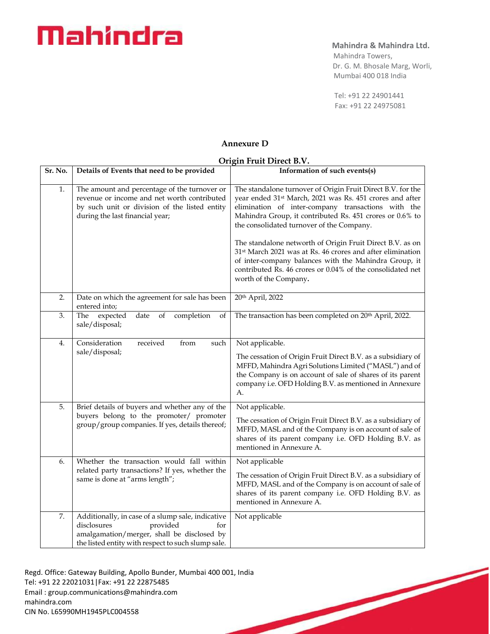# **Mahindra & Mahindra Ltd.**

 Mahindra Towers, Dr. G. M. Bhosale Marg, Worli, Mumbai 400 018 India

 Tel: +91 22 24901441 Fax: +91 22 24975081

# **Annexure D**

### **Origin Fruit Direct B.V.**

| Sr. No. | Details of Events that need to be provided                                                                                                                                              | Information of such events(s)                                                                                                                                                                                                                                                                                                                                                                                                                                                                                                                                                             |
|---------|-----------------------------------------------------------------------------------------------------------------------------------------------------------------------------------------|-------------------------------------------------------------------------------------------------------------------------------------------------------------------------------------------------------------------------------------------------------------------------------------------------------------------------------------------------------------------------------------------------------------------------------------------------------------------------------------------------------------------------------------------------------------------------------------------|
| 1.      | The amount and percentage of the turnover or<br>revenue or income and net worth contributed<br>by such unit or division of the listed entity<br>during the last financial year;         | The standalone turnover of Origin Fruit Direct B.V. for the<br>year ended 31 <sup>st</sup> March, 2021 was Rs. 451 crores and after<br>elimination of inter-company transactions with the<br>Mahindra Group, it contributed Rs. 451 crores or 0.6% to<br>the consolidated turnover of the Company.<br>The standalone networth of Origin Fruit Direct B.V. as on<br>31 <sup>st</sup> March 2021 was at Rs. 46 crores and after elimination<br>of inter-company balances with the Mahindra Group, it<br>contributed Rs. 46 crores or 0.04% of the consolidated net<br>worth of the Company. |
| 2.      | Date on which the agreement for sale has been<br>entered into;                                                                                                                          | 20th April, 2022                                                                                                                                                                                                                                                                                                                                                                                                                                                                                                                                                                          |
| 3.      | The expected<br>date of<br>completion<br>of<br>sale/disposal;                                                                                                                           | The transaction has been completed on 20 <sup>th</sup> April, 2022.                                                                                                                                                                                                                                                                                                                                                                                                                                                                                                                       |
| 4.      | Consideration<br>received<br>from<br>such<br>sale/disposal;                                                                                                                             | Not applicable.<br>The cessation of Origin Fruit Direct B.V. as a subsidiary of<br>MFFD, Mahindra Agri Solutions Limited ("MASL") and of<br>the Company is on account of sale of shares of its parent<br>company i.e. OFD Holding B.V. as mentioned in Annexure<br>А.                                                                                                                                                                                                                                                                                                                     |
| 5.      | Brief details of buyers and whether any of the<br>buyers belong to the promoter/ promoter<br>group/group companies. If yes, details thereof;                                            | Not applicable.<br>The cessation of Origin Fruit Direct B.V. as a subsidiary of<br>MFFD, MASL and of the Company is on account of sale of<br>shares of its parent company i.e. OFD Holding B.V. as<br>mentioned in Annexure A.                                                                                                                                                                                                                                                                                                                                                            |
| 6.      | Whether the transaction would fall within<br>related party transactions? If yes, whether the<br>same is done at "arms length";                                                          | Not applicable<br>The cessation of Origin Fruit Direct B.V. as a subsidiary of<br>MFFD, MASL and of the Company is on account of sale of<br>shares of its parent company i.e. OFD Holding B.V. as<br>mentioned in Annexure A.                                                                                                                                                                                                                                                                                                                                                             |
| 7.      | Additionally, in case of a slump sale, indicative<br>disclosures<br>provided<br>for<br>amalgamation/merger, shall be disclosed by<br>the listed entity with respect to such slump sale. | Not applicable                                                                                                                                                                                                                                                                                                                                                                                                                                                                                                                                                                            |